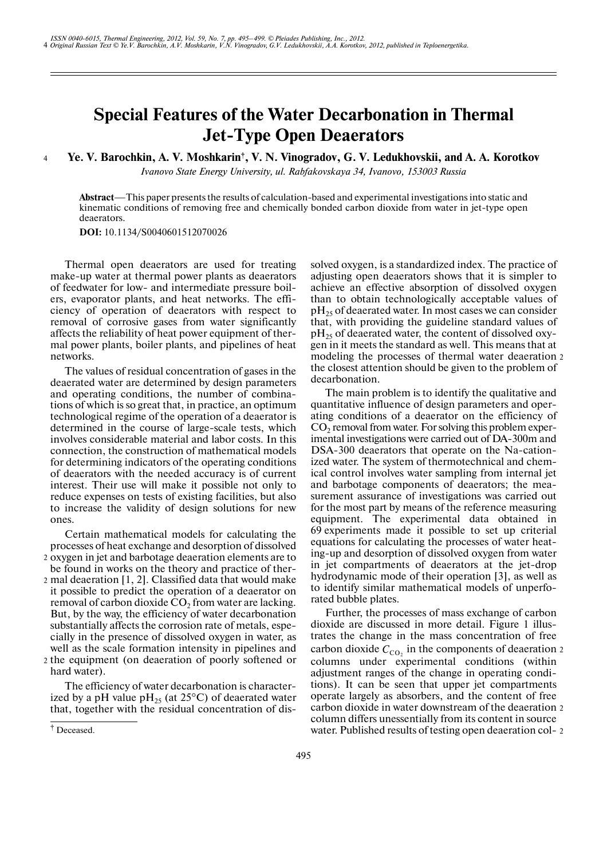## **Special Features of the Water Decarbonation in Thermal Jet-Type Open Deaerators**

Ye. V. Barochkin, A. V. Moshkarin<sup>†</sup>, V. N. Vinogradov, G. V. Ledukhovskii, and A. A. Korotkov 4

*Ivanovo State Energy University, ul. Rabfakovskaya 34, Ivanovo, 153003 Russia*

**Abstract**—This paper presents the results of calculation-based and experimental investigations into static and kinematic conditions of removing free and chemically bonded carbon dioxide from water in jet-type open deaerators.

**DOI:** 10.1134/S0040601512070026

† Thermal open deaerators are used for treating make-up water at thermal power plants as deaerators of feedwater for low- and intermediate pressure boil ers, evaporator plants, and heat networks. The effi ciency of operation of deaerators with respect to removal of corrosive gases from water significantly affects the reliability of heat power equipment of ther mal power plants, boiler plants, and pipelines of heat networks.

The values of residual concentration of gases in the deaerated water are determined by design parameters and operating conditions, the number of combina tions of which is so great that, in practice, an optimum technological regime of the operation of a deaerator is determined in the course of large-scale tests, which involves considerable material and labor costs. In this connection, the construction of mathematical models for determining indicators of the operating conditions of deaerators with the needed accuracy is of current interest. Their use will make it possible not only to reduce expenses on tests of existing facilities, but also to increase the validity of design solutions for new ones.

Certain mathematical models for calculating the processes of heat exchange and desorption of dissolved oxygen in jet and barbotage deaeration elements are to 2

- be found in works on the theory and practice of ther mal deaeration [1, 2]. Classified data that would make 2 it possible to predict the operation of a deaerator on removal of carbon dioxide  $CO<sub>2</sub>$  from water are lacking. But, by the way, the efficiency of water decarbonation substantially affects the corrosion rate of metals, espe cially in the presence of dissolved oxygen in water, as well as the scale formation intensity in pipelines and 2 the equipment (on deaeration of poorly softened or
- hard water).

The efficiency of water decarbonation is character ized by a pH value  $pH_{25}$  (at 25°C) of deaerated water that, together with the residual concentration of dis-

† Deceased.

solved oxygen, is a standardized index. The practice of adjusting open deaerators shows that it is simpler to achieve an effective absorption of dissolved oxygen than to obtain technologically acceptable values of  $pH<sub>25</sub>$  of deaerated water. In most cases we can consider that, with providing the guideline standard values of  $\rm pH_{25}$  of deaerated water, the content of dissolved oxygen in it meets the standard as well. This means that at modeling the processes of thermal water deaeration 2 the closest attention should be given to the problem of decarbonation.

The main problem is to identify the qualitative and quantitative influence of design parameters and oper ating conditions of a deaerator on the efficiency of  $CO<sub>2</sub>$  removal from water. For solving this problem experimental investigations were carried out of DA-300m and DSA-300 deaerators that operate on the Na-cation ized water. The system of thermotechnical and chem ical control involves water sampling from internal jet and barbotage components of deaerators; the mea surement assurance of investigations was carried out for the most part by means of the reference measuring equipment. The experimental data obtained in 69 experiments made it possible to set up criterial equations for calculating the processes of water heat ing-up and desorption of dissolved oxygen from water in jet compartments of deaerators at the jet-drop hydrodynamic mode of their operation [3], as well as to identify similar mathematical models of unperfo rated bubble plates.

Further, the processes of mass exchange of carbon dioxide are discussed in more detail. Figure 1 illus trates the change in the mass concentration of free carbon dioxide  $C_{\text{CO}_2}$  in the components of deaeration  $2$ columns under experimental conditions (within adjustment ranges of the change in operating condi tions). It can be seen that upper jet compartments operate largely as absorbers, and the content of free carbon dioxide in water downstream of the deaeration 2 column differs unessentially from its content in source water. Published results of testing open deaeration col- 2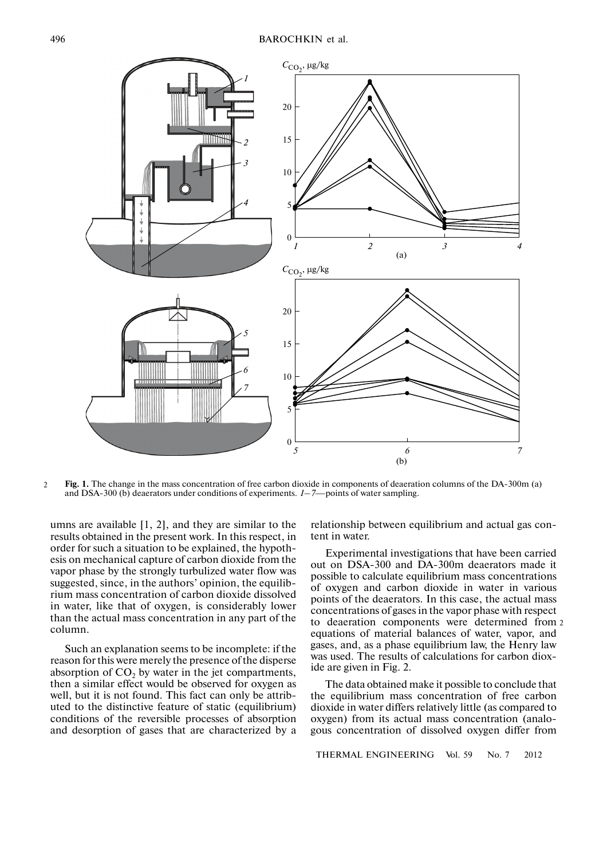

Fig. 1. The change in the mass concentration of free carbon dioxide in components of deaeration columns of the DA-300m (a) and DSA-300 (b) deaerators under conditions of experiments. *1–7*—points of water sampling.  $\overline{2}$ 

umns are available [1, 2], and they are similar to the results obtained in the present work. In this respect, in order for such a situation to be explained, the hypoth esis оn mechanical capture of carbon dioxide from the vapor phase by the strongly turbulized water flow was suggested, since, in the authors' opinion, the equilib rium mass concentration of carbon dioxide dissolved in water, like that of oxygen, is considerably lower than the actual mass concentration in any part of the column.

Such an explanation seems to be incomplete: if the reason for this were merely the presence of the disperse absorption of  $CO<sub>2</sub>$  by water in the jet compartments, then a similar effect would be observed for oxygen as well, but it is not found. This fact can only be attrib uted to the distinctive feature of static (equilibrium) conditions of the reversible processes of absorption and desorption of gases that are characterized by a

relationship between equilibrium and actual gas con tent in water.

Experimental investigations that have been carried out on DSA-300 and DA-300m deaerators made it possible to calculate equilibrium mass concentrations of oxygen and carbon dioxide in water in various points of the deaerators. In this case, the actual mass concentrations of gases in the vapor phase with respect to deaeration components were determined from 2 equations of material balances of water, vapor, and gases, and, as a phase equilibrium law, the Henry law was used. The results of calculations for carbon diox ide are given in Fig. 2.

The data obtained make it possible to conclude that the equilibrium mass concentration of free carbon dioxide in water differs relatively little (as compared to oxygen) from its actual mass concentration (analo gous concentration of dissolved oxygen differ from

THERMAL ENGINEERING Vol. 59 No. 7 2012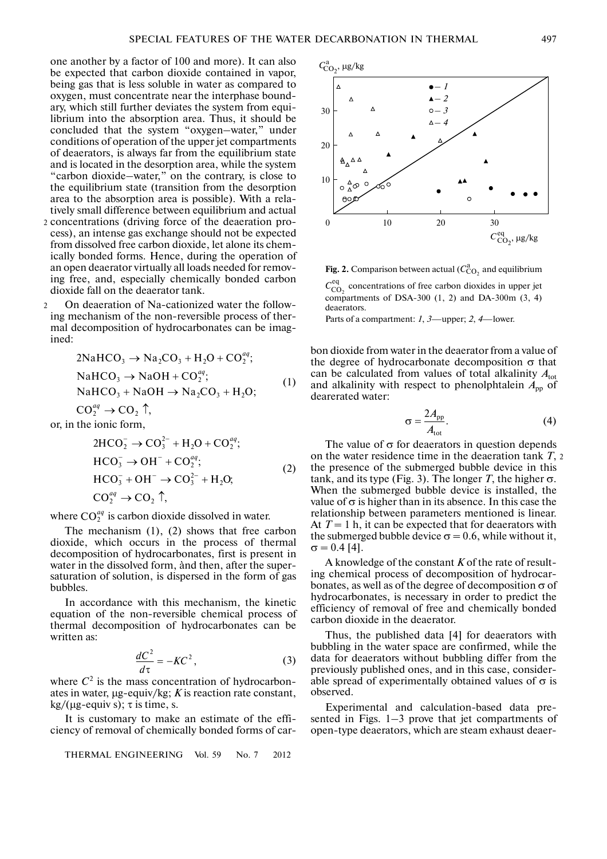one another by a factor of 100 and more). It can also be expected that carbon dioxide contained in vapor, being gas that is less soluble in water as compared to oxygen, must concentrate near the interphase bound ary, which still further deviates the system from equi librium into the absorption area. Thus, it should be concluded that the system "oxygen–water," under conditions of operation of the upper jet compartments of deaerators, is always far from the equilibrium state and is located in the desorption area, while the system "carbon dioxide–water," on the contrary, is close to the equilibrium state (transition from the desorption area to the absorption area is possible). With a rela tively small difference between equilibrium and actual

- 2 concentrations (driving force of the deaeration process), an intense gas exchange should not be expected from dissolved free carbon dioxide, let alone its chem ically bonded forms. Hence, during the operation of an open deaerator virtually all loads needed for remov ing free, and, especially chemically bonded carbon dioxide fall on the deaerator tank.
- On deaeration of Na-cationized water the follow ing mechanism of the non-reversible process of ther mal decomposition of hydrocarbonates can be imag ined: 2

$$
2NaHCO3 \rightarrow Na2CO3 + H2O + CO2aq;\nNaHCO3 \rightarrow NaOH + CO2aq;\nNaHCO3 + NaOH \rightarrow Na2CO3 + H2O;
$$
\n(1)

 $CO_2^{aq} \rightarrow CO_2$  <sup> $\uparrow$ </sup>,<br>the ionic form,

or, in the ionic form,  
\n
$$
2\text{HCO}_2^- \rightarrow \text{CO}_3^{2-} + \text{H}_2\text{O} + \text{CO}_2^{aq};
$$
\n
$$
\text{HCO}_3^- \rightarrow \text{OH}^- + \text{CO}_2^{aq};
$$
\n
$$
\text{HCO}_3^- + \text{OH}^- \rightarrow \text{CO}_3^{2-} + \text{H}_2\text{O};
$$
\n
$$
\text{CO}_2^{aq} \rightarrow \text{CO}_2 \uparrow,
$$
\n(2)

where  $CO_2^{aq}$  is carbon dioxide dissolved in water.

The mechanism (1), (2) shows that free carbon dioxide, which occurs in the process of thermal decomposition of hydrocarbonates, first is present in water in the dissolved form, ànd then, after the super saturation of solution, is dispersed in the form of gas bubbles.

In accordance with this mechanism, the kinetic equation of the non-reversible chemical process of thermal decomposition of hydrocarbonates can be written as:

$$
\frac{dC^2}{d\tau} = -KC^2,\tag{3}
$$

where  $C<sup>2</sup>$  is the mass concentration of hydrocarbonates in water, µg-equiv/kg; *K* is reaction rate constant,  $\frac{1}{\text{kg}}/(\mu \text{g-equiv s}); \tau \text{ is time, s.}$ 

It is customary to make an estimate of the effi ciency of removal of chemically bonded forms of car-

THERMAL ENGINEERING Vol. 59 No. 7 2012



**Fig. 2.** Comparison between actual ( $C_{\text{CO}_2}^{\text{a}}$  and equilibrium  $C_{\text{CO}_2}^{\text{eq}}$  concentrations of free carbon dioxides in upper jet compartments of DSA-300  $(1, 2)$  and DA-300m  $(3, 4)$ deaerators.

Parts of a compartment: *1*, *3*—upper; *2*, *4*—lower.

0 10 20 30

bon dioxide from water in the deaerator from a value of the degree of hydrocarbonate decomposition  $σ$  that can be calculated from values of total alkalinity  $A<sub>tot</sub>$ and alkalinity with respect to phenolphtalein  $A_{\text{pp}}$  of dearerated water:

$$
\sigma = \frac{2A_{\rm pp}}{A_{\rm tot}}.\tag{4}
$$

 $C_{\text{CO}_2}^{\text{eq}}, \mu$ g/kg

The value of  $\sigma$  for deaerators in question depends on the water residence time in the deaeration tank *Т*, 2 the presence of the submerged bubble device in this tank, and its type (Fig. 3). The longer *T*, the higher  $\sigma$ . When the submerged bubble device is installed, the value of  $\sigma$  is higher than in its absence. In this case the relationship between parameters mentioned is linear. At  $T = 1$  h, it can be expected that for deaerators with the submerged bubble device  $\sigma = 0.6$ , while without it,  $\sigma = 0.4$  [4].

A knowledge of the constant *K* of the rate of result ing chemical process of decomposition of hydrocar bonates, as well as of the degree of decomposition  $\sigma$  of hydrocarbonates, is necessary in order to predict the efficiency of removal of free and chemically bonded carbon dioxide in the deaerator.

Thus, the published data [4] for deaerators with bubbling in the water space are confirmed, while the data for deaerators without bubbling differ from the previously published ones, and in this case, consider able spread of experimentally obtained values of  $\sigma$  is observed.

Experimental and calculation-based data pre sented in Figs. 1–3 prove that jet compartments of open-type deaerators, which are steam exhaust deaer-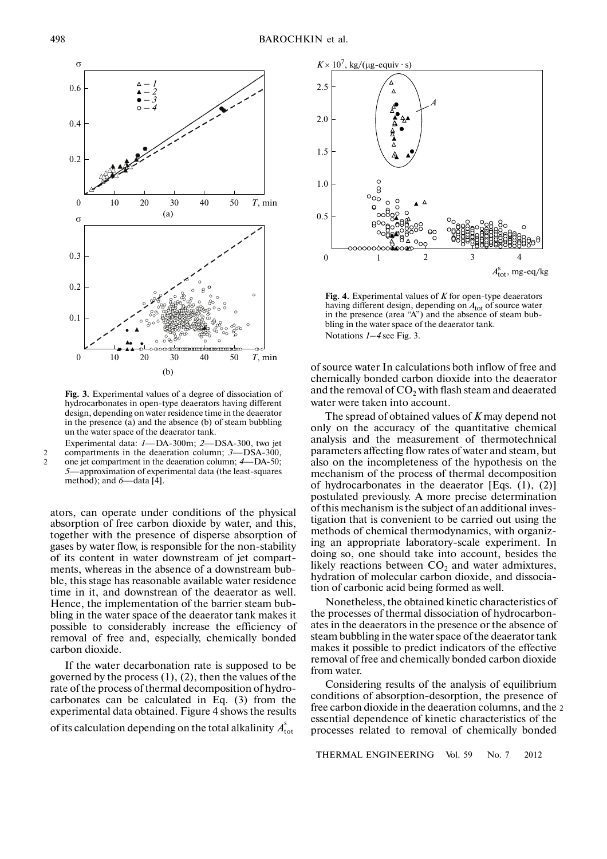

**Fig. 3.** Experimental values of a degree of dissociation of hydrocarbonates in open-type deaerators having different design, depending on water residence time in the deaerator in the presence (a) and the absence (b) of steam bubbling un the water space of the deaerator tank.

Experimental data: *1*—DA-300m; *2*—DSA-300, two jet compartments in the deaeration column; *3*—DSA-300, one jet compartment in the deaeration column; *4*—DA-50; *5*—approximation of experimental data (the least-squares method); and *6*—data [4].

ators, can operate under conditions of the physical absorption of free carbon dioxide by water, and this, together with the presence of disperse absorption of gases by water flow, is responsible for the non-stability of its content in water downstream of jet compart ments, whereas in the absence of a downstream bub ble, this stage has reasonable available water residence time in it, and downstrean of the deaerator as well. Hence, the implementation of the barrier steam bub bling in the water space of the deaerator tank makes it possible to considerably increase the efficiency of removal of free and, especially, chemically bonded carbon dioxide.

If the water decarbonation rate is supposed to be governed by the process  $(1)$ ,  $(2)$ , then the values of the rate of the process of thermal decomposition of hydro carbonates can be calculated in Eq. (3) from the experimental data obtained. Figure 4 shows the results of its calculation depending on the total alkalinity  $A_{\text{tot}}^{\text{s}}$ 



**Fig. 4.** Experimental values of *K* for open-type deaerators having different design, depending on  $A<sub>tot</sub>$  of source water in the presence (area "A") and the absence of steam bub bling in the water space of the deaerator tank. Notations *1–4* see Fig. 3.

of source water In calculations both inflow of free and chemically bonded carbon dioxide into the deaerator and the removal of  $CO<sub>2</sub>$  with flash steam and deaerated water were taken into account.

The spread of obtained values of *K* may depend not only on the accuracy of the quantitative chemical analysis and the measurement of thermotechnical parameters affecting flow rates of water and steam, but also on the incompleteness of the hypothesis on the mechanism of the process of thermal decomposition of hydrocarbonates in the deaerator [Eqs. (1), (2)] postulated previously. A more precise determination of this mechanism is the subject of an additional inves tigation that is convenient to be carried out using the methods of chemical thermodynamics, with organiz ing an appropriate laboratory-scale experiment. In doing so, one should take into account, besides the likely reactions between  $CO<sub>2</sub>$  and water admixtures, hydration of molecular carbon dioxide, and dissocia tion of carbonic acid being formed as well.

Nonetheless, the obtained kinetic characteristics of the processes of thermal dissociation of hydrocarbon ates in the deaerators in the presence or the absence of steam bubbling in the water space of the deaerator tank makes it possible to predict indicators of the effective removal of free and chemically bonded carbon dioxide from water.

Considering results of the analysis of equilibrium conditions of absorption-desorption, the presence of free carbon dioxide in the deaeration columns, and the 2 essential dependence of kinetic characteristics of the processes related to removal of chemically bonded

THERMAL ENGINEERING Vol. 59 No. 7 2012

2 2